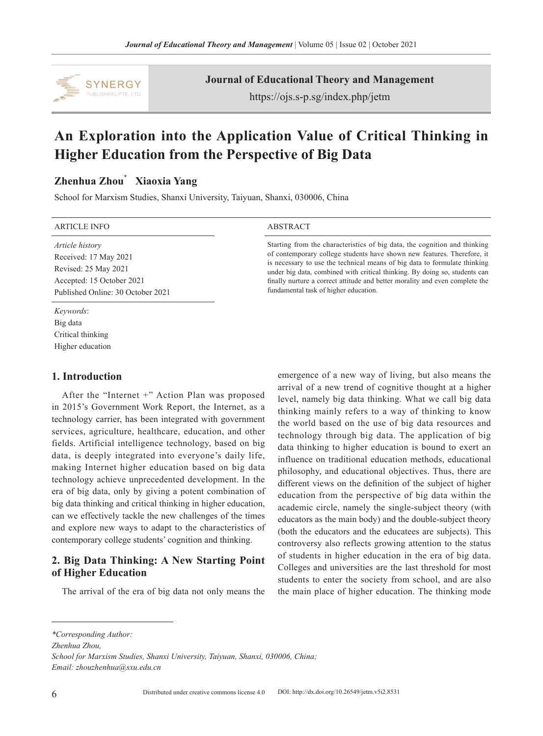

**Journal of Educational Theory and Management**

https://ojs.s-p.sg/index.php/jetm

# **An Exploration into the Application Value of Critical Thinking in Higher Education from the Perspective of Big Data**

# **Zhenhua Zhou**\*  **Xiaoxia Yang**

School for Marxism Studies, Shanxi University, Taiyuan, Shanxi, 030006, China

#### ARTICLE INFO ABSTRACT

*Article history* Received: 17 May 2021 Revised: 25 May 2021 Accepted: 15 October 2021 Published Online: 30 October 2021

Starting from the characteristics of big data, the cognition and thinking of contemporary college students have shown new features. Therefore, it is necessary to use the technical means of big data to formulate thinking under big data, combined with critical thinking. By doing so, students can finally nurture a correct attitude and better morality and even complete the fundamental task of higher education.

# Higher education

*Keywords*: Big data Critical thinking

**1. Introduction**

# After the "Internet +" Action Plan was proposed in 2015's Government Work Report, the Internet, as a technology carrier, has been integrated with government services, agriculture, healthcare, education, and other fields. Artificial intelligence technology, based on big data, is deeply integrated into everyone's daily life, making Internet higher education based on big data technology achieve unprecedented development. In the era of big data, only by giving a potent combination of

big data thinking and critical thinking in higher education, can we effectively tackle the new challenges of the times and explore new ways to adapt to the characteristics of contemporary college students' cognition and thinking.

# **2. Big Data Thinking: A New Starting Point of Higher Education**

The arrival of the era of big data not only means the

emergence of a new way of living, but also means the arrival of a new trend of cognitive thought at a higher level, namely big data thinking. What we call big data thinking mainly refers to a way of thinking to know the world based on the use of big data resources and technology through big data. The application of big data thinking to higher education is bound to exert an influence on traditional education methods, educational philosophy, and educational objectives. Thus, there are different views on the definition of the subject of higher education from the perspective of big data within the academic circle, namely the single-subject theory (with educators as the main body) and the double-subject theory (both the educators and the educatees are subjects). This controversy also reflects growing attention to the status of students in higher education in the era of big data. Colleges and universities are the last threshold for most students to enter the society from school, and are also the main place of higher education. The thinking mode

*Zhenhua Zhou,*

*<sup>\*</sup>Corresponding Author:*

*School for Marxism Studies, Shanxi University, Taiyuan, Shanxi, 030006, China; Email: zhouzhenhua@sxu.edu.cn*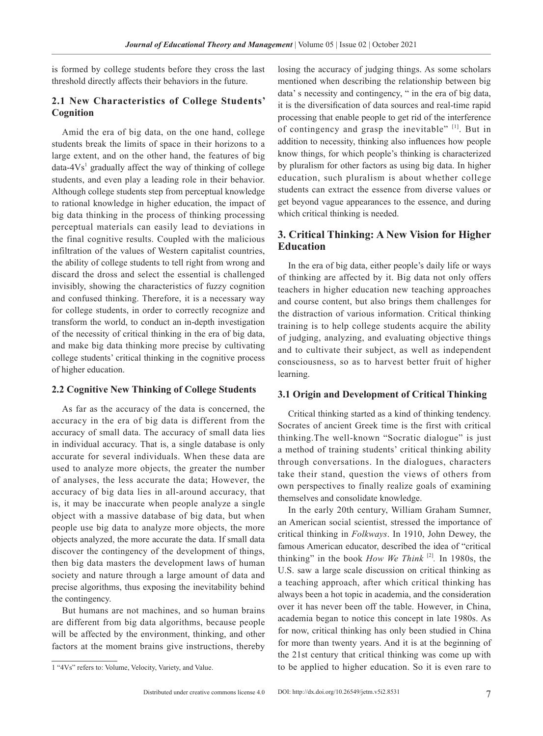is formed by college students before they cross the last threshold directly affects their behaviors in the future.

## **2.1 New Characteristics of College Students' Cognition**

Amid the era of big data, on the one hand, college students break the limits of space in their horizons to a large extent, and on the other hand, the features of big data- $4Vs<sup>1</sup>$  gradually affect the way of thinking of college students, and even play a leading role in their behavior. Although college students step from perceptual knowledge to rational knowledge in higher education, the impact of big data thinking in the process of thinking processing perceptual materials can easily lead to deviations in the final cognitive results. Coupled with the malicious infiltration of the values of Western capitalist countries, the ability of college students to tell right from wrong and discard the dross and select the essential is challenged invisibly, showing the characteristics of fuzzy cognition and confused thinking. Therefore, it is a necessary way for college students, in order to correctly recognize and transform the world, to conduct an in-depth investigation of the necessity of critical thinking in the era of big data, and make big data thinking more precise by cultivating college students' critical thinking in the cognitive process of higher education.

### **2.2 Cognitive New Thinking of College Students**

As far as the accuracy of the data is concerned, the accuracy in the era of big data is different from the accuracy of small data. The accuracy of small data lies in individual accuracy. That is, a single database is only accurate for several individuals. When these data are used to analyze more objects, the greater the number of analyses, the less accurate the data; However, the accuracy of big data lies in all-around accuracy, that is, it may be inaccurate when people analyze a single object with a massive database of big data, but when people use big data to analyze more objects, the more objects analyzed, the more accurate the data. If small data discover the contingency of the development of things, then big data masters the development laws of human society and nature through a large amount of data and precise algorithms, thus exposing the inevitability behind the contingency.

But humans are not machines, and so human brains are different from big data algorithms, because people will be affected by the environment, thinking, and other factors at the moment brains give instructions, thereby losing the accuracy of judging things. As some scholars mentioned when describing the relationship between big data' s necessity and contingency, " in the era of big data, it is the diversification of data sources and real-time rapid processing that enable people to get rid of the interference of contingency and grasp the inevitable" [1]. But in addition to necessity, thinking also influences how people know things, for which people's thinking is characterized by pluralism for other factors as using big data. In higher education, such pluralism is about whether college students can extract the essence from diverse values or get beyond vague appearances to the essence, and during which critical thinking is needed.

## **3. Critical Thinking: A New Vision for Higher Education**

In the era of big data, either people's daily life or ways of thinking are affected by it. Big data not only offers teachers in higher education new teaching approaches and course content, but also brings them challenges for the distraction of various information. Critical thinking training is to help college students acquire the ability of judging, analyzing, and evaluating objective things and to cultivate their subject, as well as independent consciousness, so as to harvest better fruit of higher learning.

#### **3.1 Origin and Development of Critical Thinking**

Critical thinking started as a kind of thinking tendency. Socrates of ancient Greek time is the first with critical thinking.The well-known "Socratic dialogue" is just a method of training students' critical thinking ability through conversations. In the dialogues, characters take their stand, question the views of others from own perspectives to finally realize goals of examining themselves and consolidate knowledge.

In the early 20th century, William Graham Sumner, an American social scientist, stressed the importance of critical thinking in *Folkways*. In 1910, John Dewey, the famous American educator, described the idea of "critical thinking" in the book *How We Think* [2]*.* In 1980s, the U.S. saw a large scale discussion on critical thinking as a teaching approach, after which critical thinking has always been a hot topic in academia, and the consideration over it has never been off the table. However, in China, academia began to notice this concept in late 1980s. As for now, critical thinking has only been studied in China for more than twenty years. And it is at the beginning of the 21st century that critical thinking was come up with to be applied to higher education. So it is even rare to

<sup>1 &</sup>quot;4Vs" refers to: Volume, Velocity, Variety, and Value.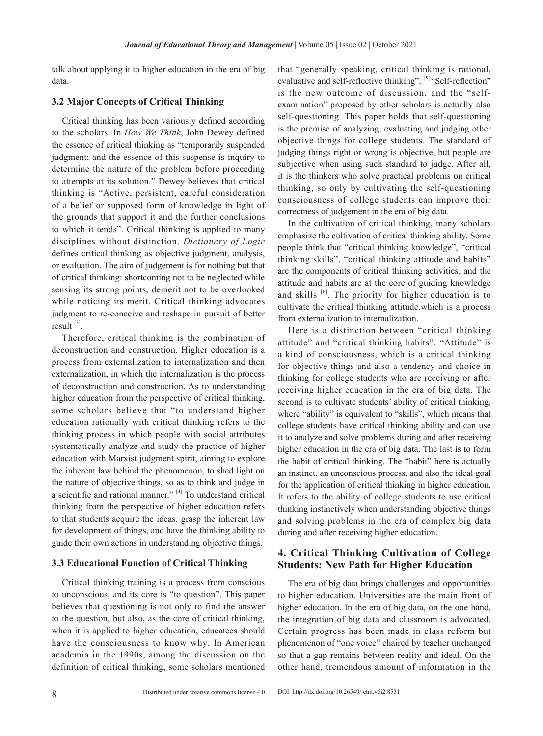talk about applying it to higher education in the era of big data.

#### **3.2 Major Concepts of Critical Thinking**

Critical thinking has been variously defined according to the scholars. In *How We Think*, John Dewey defined the essence of critical thinking as "temporarily suspended judgment; and the essence of this suspense is inquiry to determine the nature of the problem before proceeding to attempts at its solution." Dewey believes that critical thinking is "Active, persistent, careful consideration of a belief or supposed form of knowledge in light of the grounds that support it and the further conclusions to which it tends". Critical thinking is applied to many disciplines without distinction. *Dictionary of Logic*  defines critical thinking as objective judgment, analysis, or evaluation. The aim of judgement is for nothing but that of critical thinking: shortcoming not to be neglected while sensing its strong points, demerit not to be overlooked while noticing its merit. Critical thinking advocates judgment to re-conceive and reshape in pursuit of better result [3].

Therefore, critical thinking is the combination of deconstruction and construction. Higher education is a process from externalization to internalization and then externalization, in which the internalization is the process of deconstruction and construction. As to understanding higher education from the perspective of critical thinking, some scholars believe that "to understand higher education rationally with critical thinking refers to the thinking process in which people with social attributes systematically analyze and study the practice of higher education with Marxist judgment spirit, aiming to explore the inherent law behind the phenomenon, to shed light on the nature of objective things, so as to think and judge in a scientific and rational manner." [4] To understand critical thinking from the perspective of higher education refers to that students acquire the ideas, grasp the inherent law for development of things, and have the thinking ability to guide their own actions in understanding objective things.

#### **3.3 Educational Function of Critical Thinking**

Critical thinking training is a process from conscious to unconscious, and its core is "to question". This paper believes that questioning is not only to find the answer to the question, but also, as the core of critical thinking, when it is applied to higher education, educatees should have the consciousness to know why. In American academia in the 1990s, among the discussion on the definition of critical thinking, some scholars mentioned

that "generally speaking, critical thinking is rational, evaluative and self-reflective thinking". [5] "Self-reflection" is the new outcome of discussion, and the "selfexamination" proposed by other scholars is actually also self-questioning. This paper holds that self-questioning is the premise of analyzing, evaluating and judging other objective things for college students. The standard of judging things right or wrong is objective, but people are subjective when using such standard to judge. After all, it is the thinkers who solve practical problems on critical thinking, so only by cultivating the self-questioning consciousness of college students can improve their correctness of judgement in the era of big data.

In the cultivation of critical thinking, many scholars emphasize the cultivation of critical thinking ability. Some people think that "critical thinking knowledge", "critical thinking skills", "critical thinking attitude and habits" are the components of critical thinking activities, and the attitude and habits are at the core of guiding knowledge and skills  $[6]$ . The priority for higher education is to cultivate the critical thinking attitude,which is a process from externalization to internalization.

Here is a distinction between "critical thinking attitude" and "critical thinking habits". "Attitude" is a kind of consciousness, which is a critical thinking for objective things and also a tendency and choice in thinking for college students who are receiving or after receiving higher education in the era of big data. The second is to cultivate students' ability of critical thinking, where "ability" is equivalent to "skills", which means that college students have critical thinking ability and can use it to analyze and solve problems during and after receiving higher education in the era of big data. The last is to form the habit of critical thinking. The "habit" here is actually an instinct, an unconscious process, and also the ideal goal for the application of critical thinking in higher education. It refers to the ability of college students to use critical thinking instinctively when understanding objective things and solving problems in the era of complex big data during and after receiving higher education.

# **4. Critical Thinking Cultivation of College Students: New Path for Higher Education**

The era of big data brings challenges and opportunities to higher education. Universities are the main front of higher education. In the era of big data, on the one hand, the integration of big data and classroom is advocated. Certain progress has been made in class reform but phenomenon of "one voice" chaired by teacher unchanged so that a gap remains between reality and ideal. On the other hand, tremendous amount of information in the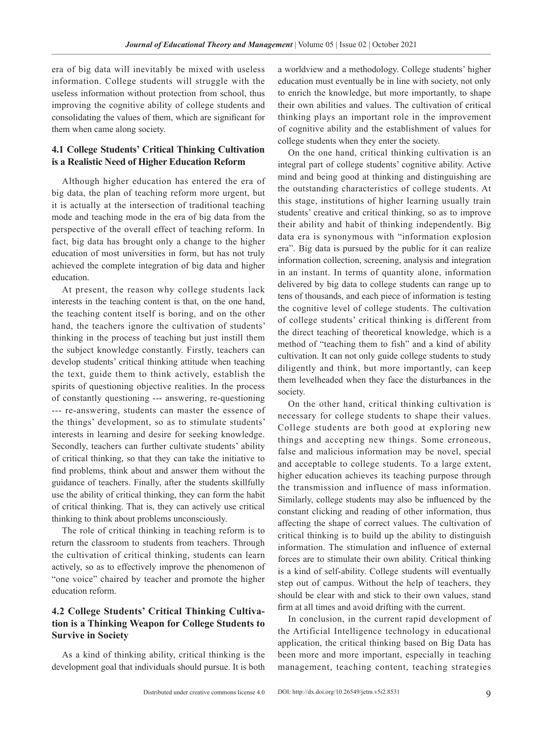era of big data will inevitably be mixed with useless information. College students will struggle with the useless information without protection from school, thus improving the cognitive ability of college students and consolidating the values of them, which are significant for them when came along society.

# **4.1 College Students' Critical Thinking Cultivation is a Realistic Need of Higher Education Reform**

Although higher education has entered the era of big data, the plan of teaching reform more urgent, but it is actually at the intersection of traditional teaching mode and teaching mode in the era of big data from the perspective of the overall effect of teaching reform. In fact, big data has brought only a change to the higher education of most universities in form, but has not truly achieved the complete integration of big data and higher education.

At present, the reason why college students lack interests in the teaching content is that, on the one hand, the teaching content itself is boring, and on the other hand, the teachers ignore the cultivation of students' thinking in the process of teaching but just instill them the subject knowledge constantly. Firstly, teachers can develop students' critical thinking attitude when teaching the text, guide them to think actively, establish the spirits of questioning objective realities. In the process of constantly questioning --- answering, re-questioning --- re-answering, students can master the essence of the things' development, so as to stimulate students' interests in learning and desire for seeking knowledge. Secondly, teachers can further cultivate students' ability of critical thinking, so that they can take the initiative to find problems, think about and answer them without the guidance of teachers. Finally, after the students skillfully use the ability of critical thinking, they can form the habit of critical thinking. That is, they can actively use critical thinking to think about problems unconsciously.

The role of critical thinking in teaching reform is to return the classroom to students from teachers. Through the cultivation of critical thinking, students can learn actively, so as to effectively improve the phenomenon of "one voice" chaired by teacher and promote the higher education reform.

# **4.2 College Students' Critical Thinking Cultivation is a Thinking Weapon for College Students to Survive in Society**

As a kind of thinking ability, critical thinking is the development goal that individuals should pursue. It is both

a worldview and a methodology. College students' higher education must eventually be in line with society, not only to enrich the knowledge, but more importantly, to shape their own abilities and values. The cultivation of critical thinking plays an important role in the improvement of cognitive ability and the establishment of values for college students when they enter the society.

On the one hand, critical thinking cultivation is an integral part of college students' cognitive ability. Active mind and being good at thinking and distinguishing are the outstanding characteristics of college students. At this stage, institutions of higher learning usually train students' creative and critical thinking, so as to improve their ability and habit of thinking independently. Big data era is synonymous with "information explosion era". Big data is pursued by the public for it can realize information collection, screening, analysis and integration in an instant. In terms of quantity alone, information delivered by big data to college students can range up to tens of thousands, and each piece of information is testing the cognitive level of college students. The cultivation of college students' critical thinking is different from the direct teaching of theoretical knowledge, which is a method of "teaching them to fish" and a kind of ability cultivation. It can not only guide college students to study diligently and think, but more importantly, can keep them levelheaded when they face the disturbances in the society.

On the other hand, critical thinking cultivation is necessary for college students to shape their values. College students are both good at exploring new things and accepting new things. Some erroneous, false and malicious information may be novel, special and acceptable to college students. To a large extent, higher education achieves its teaching purpose through the transmission and influence of mass information. Similarly, college students may also be influenced by the constant clicking and reading of other information, thus affecting the shape of correct values. The cultivation of critical thinking is to build up the ability to distinguish information. The stimulation and influence of external forces are to stimulate their own ability. Critical thinking is a kind of self-ability. College students will eventually step out of campus. Without the help of teachers, they should be clear with and stick to their own values, stand firm at all times and avoid drifting with the current.

In conclusion, in the current rapid development of the Artificial Intelligence technology in educational application, the critical thinking based on Big Data has been more and more important, especially in teaching management, teaching content, teaching strategies